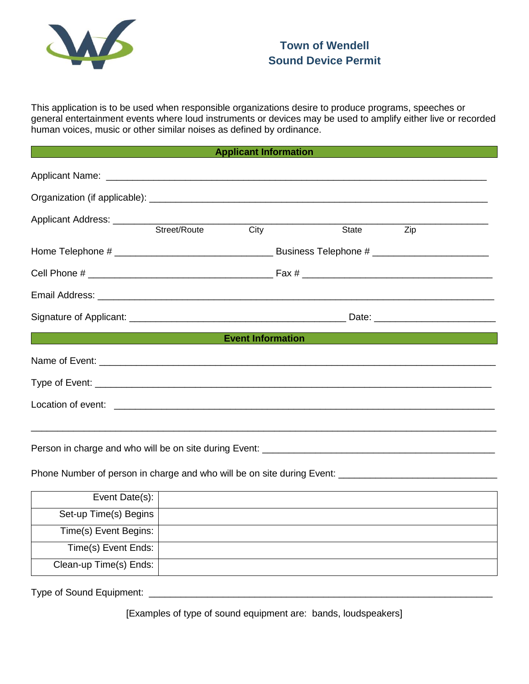

This application is to be used when responsible organizations desire to produce programs, speeches or general entertainment events where loud instruments or devices may be used to amplify either live or recorded human voices, music or other similar noises as defined by ordinance.

| <b>Applicant Information</b> |  |  |
|------------------------------|--|--|
|                              |  |  |

|                                                      |  |  | <b>City</b> | State | Zip |
|------------------------------------------------------|--|--|-------------|-------|-----|
|                                                      |  |  |             |       |     |
|                                                      |  |  |             |       |     |
|                                                      |  |  |             |       |     |
|                                                      |  |  |             |       |     |
| <b>Event Information</b><br><b>Event Information</b> |  |  |             |       |     |
|                                                      |  |  |             |       |     |
|                                                      |  |  |             |       |     |
|                                                      |  |  |             |       |     |
|                                                      |  |  |             |       |     |
|                                                      |  |  |             |       |     |

Person in charge and who will be on site during Event: \_\_\_\_\_\_\_\_\_\_\_\_\_\_\_\_\_\_\_\_\_\_\_\_\_\_\_\_\_\_\_\_\_\_\_\_\_\_\_\_\_\_\_\_

Phone Number of person in charge and who will be on site during Event: \_\_\_\_\_\_\_\_\_\_\_\_\_\_\_\_\_\_\_\_\_\_\_\_\_\_\_\_\_\_

| Event Date(s):         |  |
|------------------------|--|
| Set-up Time(s) Begins  |  |
| Time(s) Event Begins:  |  |
| Time(s) Event Ends:    |  |
| Clean-up Time(s) Ends: |  |

Type of Sound Equipment: \_\_\_\_\_\_\_\_\_\_\_\_\_\_\_\_\_\_\_\_\_\_\_\_\_\_\_\_\_\_\_\_\_\_\_\_\_\_\_\_\_\_\_\_\_\_\_\_\_\_\_\_\_\_\_\_\_\_\_\_\_\_\_\_\_

[Examples of type of sound equipment are: bands, loudspeakers]